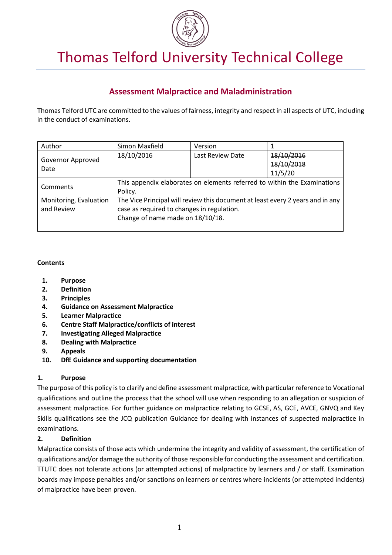

# Thomas Telford University Technical College

# **Assessment Malpractice and Maladministration**

Thomas Telford UTC are committed to the values of fairness, integrity and respect in all aspects of UTC, including in the conduct of examinations.

| Author                    | Simon Maxfield                                                                      | Version          |            |
|---------------------------|-------------------------------------------------------------------------------------|------------------|------------|
| Governor Approved<br>Date | 18/10/2016                                                                          | Last Review Date | 18/10/2016 |
|                           |                                                                                     |                  | 18/10/2018 |
|                           |                                                                                     |                  | 11/5/20    |
| Comments                  | This appendix elaborates on elements referred to within the Examinations<br>Policy. |                  |            |
| Monitoring, Evaluation    | The Vice Principal will review this document at least every 2 years and in any      |                  |            |
| and Review                | case as required to changes in regulation.<br>Change of name made on 18/10/18.      |                  |            |
|                           |                                                                                     |                  |            |
|                           |                                                                                     |                  |            |

# **Contents**

- **1. Purpose**
- **2. Definition**
- **3. Principles**
- **4. Guidance on Assessment Malpractice**
- **5. Learner Malpractice**
- **6. Centre Staff Malpractice/conflicts of interest**
- **7. Investigating Alleged Malpractice**
- **8. Dealing with Malpractice**
- **9. Appeals**
- **10. DfE Guidance and supporting documentation**

# **1. Purpose**

The purpose of this policy is to clarify and define assessment malpractice, with particular reference to Vocational qualifications and outline the process that the school will use when responding to an allegation or suspicion of assessment malpractice. For further guidance on malpractice relating to GCSE, AS, GCE, AVCE, GNVQ and Key Skills qualifications see the JCQ publication Guidance for dealing with instances of suspected malpractice in examinations.

# **2. Definition**

Malpractice consists of those acts which undermine the integrity and validity of assessment, the certification of qualifications and/or damage the authority of those responsible for conducting the assessment and certification. TTUTC does not tolerate actions (or attempted actions) of malpractice by learners and / or staff. Examination boards may impose penalties and/or sanctions on learners or centres where incidents (or attempted incidents) of malpractice have been proven.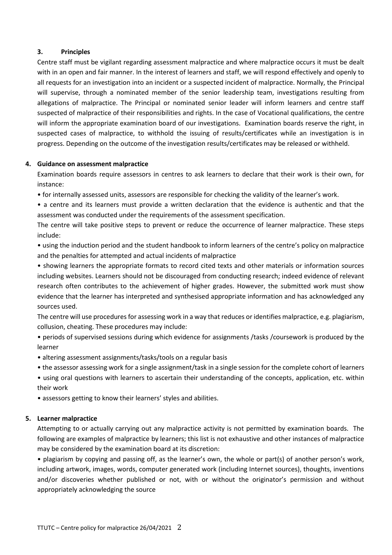#### **3. Principles**

Centre staff must be vigilant regarding assessment malpractice and where malpractice occurs it must be dealt with in an open and fair manner. In the interest of learners and staff, we will respond effectively and openly to all requests for an investigation into an incident or a suspected incident of malpractice. Normally, the Principal will supervise, through a nominated member of the senior leadership team, investigations resulting from allegations of malpractice. The Principal or nominated senior leader will inform learners and centre staff suspected of malpractice of their responsibilities and rights. In the case of Vocational qualifications, the centre will inform the appropriate examination board of our investigations. Examination boards reserve the right, in suspected cases of malpractice, to withhold the issuing of results/certificates while an investigation is in progress. Depending on the outcome of the investigation results/certificates may be released or withheld.

#### **4. Guidance on assessment malpractice**

Examination boards require assessors in centres to ask learners to declare that their work is their own, for instance:

• for internally assessed units, assessors are responsible for checking the validity of the learner's work.

• a centre and its learners must provide a written declaration that the evidence is authentic and that the assessment was conducted under the requirements of the assessment specification.

The centre will take positive steps to prevent or reduce the occurrence of learner malpractice. These steps include:

• using the induction period and the student handbook to inform learners of the centre's policy on malpractice and the penalties for attempted and actual incidents of malpractice

• showing learners the appropriate formats to record cited texts and other materials or information sources including websites. Learners should not be discouraged from conducting research; indeed evidence of relevant research often contributes to the achievement of higher grades. However, the submitted work must show evidence that the learner has interpreted and synthesised appropriate information and has acknowledged any sources used.

The centre will use procedures for assessing work in a way that reduces or identifies malpractice, e.g. plagiarism, collusion, cheating. These procedures may include:

• periods of supervised sessions during which evidence for assignments /tasks /coursework is produced by the learner

- altering assessment assignments/tasks/tools on a regular basis
- the assessor assessing work for a single assignment/task in a single session for the complete cohort of learners
- using oral questions with learners to ascertain their understanding of the concepts, application, etc. within their work
- assessors getting to know their learners' styles and abilities.

# **5. Learner malpractice**

Attempting to or actually carrying out any malpractice activity is not permitted by examination boards. The following are examples of malpractice by learners; this list is not exhaustive and other instances of malpractice may be considered by the examination board at its discretion:

• plagiarism by copying and passing off, as the learner's own, the whole or part(s) of another person's work, including artwork, images, words, computer generated work (including Internet sources), thoughts, inventions and/or discoveries whether published or not, with or without the originator's permission and without appropriately acknowledging the source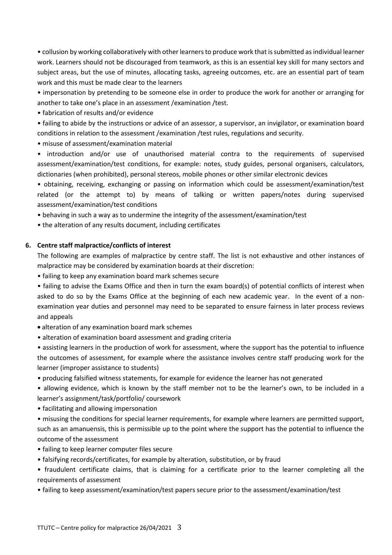• collusion by working collaboratively with other learners to produce work that is submitted as individual learner work. Learners should not be discouraged from teamwork, as this is an essential key skill for many sectors and subject areas, but the use of minutes, allocating tasks, agreeing outcomes, etc. are an essential part of team work and this must be made clear to the learners

• impersonation by pretending to be someone else in order to produce the work for another or arranging for another to take one's place in an assessment /examination /test.

• fabrication of results and/or evidence

• failing to abide by the instructions or advice of an assessor, a supervisor, an invigilator, or examination board conditions in relation to the assessment /examination /test rules, regulations and security.

• misuse of assessment/examination material

• introduction and/or use of unauthorised material contra to the requirements of supervised assessment/examination/test conditions, for example: notes, study guides, personal organisers, calculators, dictionaries (when prohibited), personal stereos, mobile phones or other similar electronic devices

• obtaining, receiving, exchanging or passing on information which could be assessment/examination/test related (or the attempt to) by means of talking or written papers/notes during supervised assessment/examination/test conditions

• behaving in such a way as to undermine the integrity of the assessment/examination/test

• the alteration of any results document, including certificates

### **6. Centre staff malpractice/conflicts of interest**

The following are examples of malpractice by centre staff. The list is not exhaustive and other instances of malpractice may be considered by examination boards at their discretion:

• failing to keep any examination board mark schemes secure

• failing to advise the Exams Office and then in turn the exam board(s) of potential conflicts of interest when asked to do so by the Exams Office at the beginning of each new academic year. In the event of a nonexamination year duties and personnel may need to be separated to ensure fairness in later process reviews and appeals

• alteration of any examination board mark schemes

• alteration of examination board assessment and grading criteria

• assisting learners in the production of work for assessment, where the support has the potential to influence the outcomes of assessment, for example where the assistance involves centre staff producing work for the learner (improper assistance to students)

• producing falsified witness statements, for example for evidence the learner has not generated

• allowing evidence, which is known by the staff member not to be the learner's own, to be included in a learner's assignment/task/portfolio/ coursework

• facilitating and allowing impersonation

• misusing the conditions for special learner requirements, for example where learners are permitted support, such as an amanuensis, this is permissible up to the point where the support has the potential to influence the outcome of the assessment

- failing to keep learner computer files secure
- falsifying records/certificates, for example by alteration, substitution, or by fraud

• fraudulent certificate claims, that is claiming for a certificate prior to the learner completing all the requirements of assessment

• failing to keep assessment/examination/test papers secure prior to the assessment/examination/test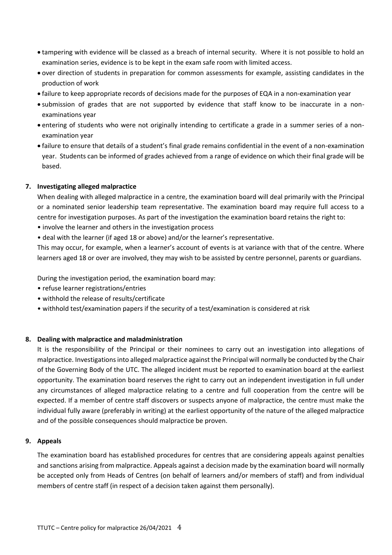- tampering with evidence will be classed as a breach of internal security. Where it is not possible to hold an examination series, evidence is to be kept in the exam safe room with limited access.
- over direction of students in preparation for common assessments for example, assisting candidates in the production of work
- failure to keep appropriate records of decisions made for the purposes of EQA in a non-examination year
- submission of grades that are not supported by evidence that staff know to be inaccurate in a nonexaminations year
- entering of students who were not originally intending to certificate a grade in a summer series of a nonexamination year
- failure to ensure that details of a student's final grade remains confidential in the event of a non-examination year. Students can be informed of grades achieved from a range of evidence on which their final grade will be based.

#### **7. Investigating alleged malpractice**

When dealing with alleged malpractice in a centre, the examination board will deal primarily with the Principal or a nominated senior leadership team representative. The examination board may require full access to a centre for investigation purposes. As part of the investigation the examination board retains the right to:

- involve the learner and others in the investigation process
- deal with the learner (if aged 18 or above) and/or the learner's representative.

This may occur, for example, when a learner's account of events is at variance with that of the centre. Where learners aged 18 or over are involved, they may wish to be assisted by centre personnel, parents or guardians.

During the investigation period, the examination board may:

- refuse learner registrations/entries
- withhold the release of results/certificate
- withhold test/examination papers if the security of a test/examination is considered at risk

#### **8. Dealing with malpractice and maladministration**

It is the responsibility of the Principal or their nominees to carry out an investigation into allegations of malpractice. Investigations into alleged malpractice against the Principal will normally be conducted by the Chair of the Governing Body of the UTC. The alleged incident must be reported to examination board at the earliest opportunity. The examination board reserves the right to carry out an independent investigation in full under any circumstances of alleged malpractice relating to a centre and full cooperation from the centre will be expected. If a member of centre staff discovers or suspects anyone of malpractice, the centre must make the individual fully aware (preferably in writing) at the earliest opportunity of the nature of the alleged malpractice and of the possible consequences should malpractice be proven.

#### **9. Appeals**

The examination board has established procedures for centres that are considering appeals against penalties and sanctions arising from malpractice. Appeals against a decision made by the examination board will normally be accepted only from Heads of Centres (on behalf of learners and/or members of staff) and from individual members of centre staff (in respect of a decision taken against them personally).